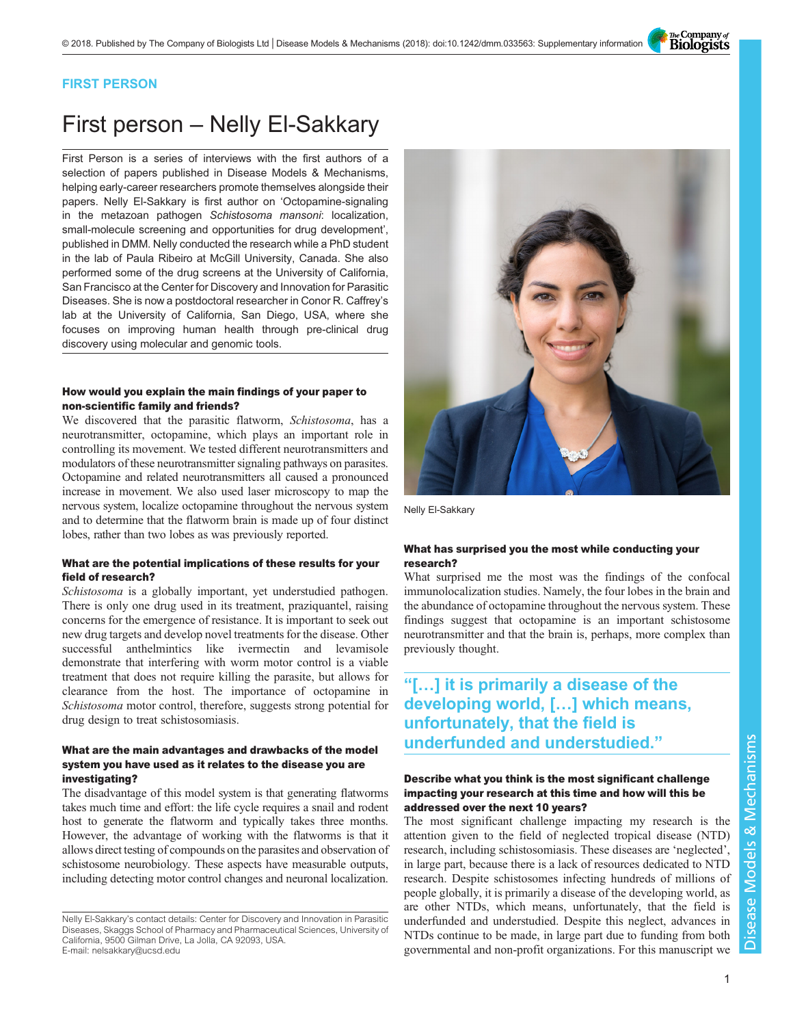The Company of<br>**Biologists** 

### FIRST PERSON

# First person – Nelly El-Sakkary

First Person is a series of interviews with the first authors of a selection of papers published in Disease Models & Mechanisms, helping early-career researchers promote themselves alongside their papers. Nelly El-Sakkary is first author on '[Octopamine-signaling](#page-1-0) [in the metazoan pathogen](#page-1-0) Schistosoma mansoni: localization, [small-molecule screening and opportunities for drug development](#page-1-0)', published in DMM. Nelly conducted the research while a PhD student in the lab of Paula Ribeiro at McGill University, Canada. She also performed some of the drug screens at the University of California, San Francisco at the Center for Discovery and Innovation for Parasitic Diseases. She is now a postdoctoral researcher in Conor R. Caffrey's lab at the University of California, San Diego, USA, where she focuses on improving human health through pre-clinical drug discovery using molecular and genomic tools.

### How would you explain the main findings of your paper to non-scientific family and friends?

We discovered that the parasitic flatworm, Schistosoma, has a neurotransmitter, octopamine, which plays an important role in controlling its movement. We tested different neurotransmitters and modulators of these neurotransmitter signaling pathways on parasites. Octopamine and related neurotransmitters all caused a pronounced increase in movement. We also used laser microscopy to map the nervous system, localize octopamine throughout the nervous system and to determine that the flatworm brain is made up of four distinct lobes, rather than two lobes as was previously reported.

### What are the potential implications of these results for your field of research?

Schistosoma is a globally important, yet understudied pathogen. There is only one drug used in its treatment, praziquantel, raising concerns for the emergence of resistance. It is important to seek out new drug targets and develop novel treatments for the disease. Other successful anthelmintics like ivermectin and levamisole demonstrate that interfering with worm motor control is a viable treatment that does not require killing the parasite, but allows for clearance from the host. The importance of octopamine in Schistosoma motor control, therefore, suggests strong potential for drug design to treat schistosomiasis.

### What are the main advantages and drawbacks of the model system you have used as it relates to the disease you are investigating?

The disadvantage of this model system is that generating flatworms takes much time and effort: the life cycle requires a snail and rodent host to generate the flatworm and typically takes three months. However, the advantage of working with the flatworms is that it allows direct testing of compounds on the parasites and observation of schistosome neurobiology. These aspects have measurable outputs, including detecting motor control changes and neuronal localization.



Nelly El-Sakkary

### What has surprised you the most while conducting your research?

What surprised me the most was the findings of the confocal immunolocalization studies. Namely, the four lobes in the brain and the abundance of octopamine throughout the nervous system. These findings suggest that octopamine is an important schistosome neurotransmitter and that the brain is, perhaps, more complex than previously thought.

## "[…] it is primarily a disease of the developing world, […] which means, unfortunately, that the field is underfunded and understudied."

### Describe what you think is the most significant challenge impacting your research at this time and how will this be addressed over the next 10 years?

The most significant challenge impacting my research is the attention given to the field of neglected tropical disease (NTD) research, including schistosomiasis. These diseases are 'neglected', in large part, because there is a lack of resources dedicated to NTD research. Despite schistosomes infecting hundreds of millions of people globally, it is primarily a disease of the developing world, as are other NTDs, which means, unfortunately, that the field is underfunded and understudied. Despite this neglect, advances in NTDs continue to be made, in large part due to funding from both governmental and non-profit organizations. For this manuscript we

Nelly El-Sakkary's contact details: Center for Discovery and Innovation in Parasitic Diseases, Skaggs School of Pharmacy and Pharmaceutical Sciences, University of California, 9500 Gilman Drive, La Jolla, CA 92093, USA. E-mail: [nelsakkary@ucsd.edu](mailto:nelsakkary@ucsd.edu)